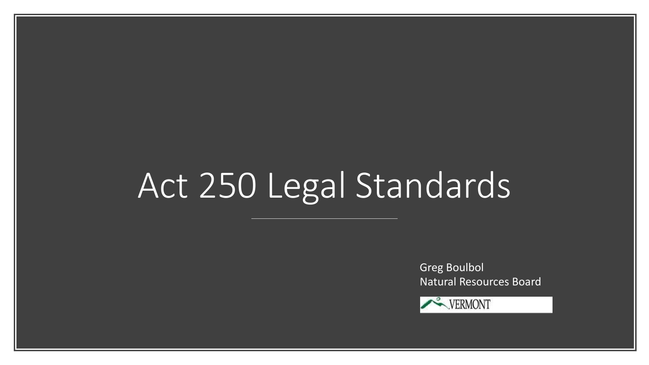# Act 250 Legal Standards

Greg Boulbol Natural Resources Board

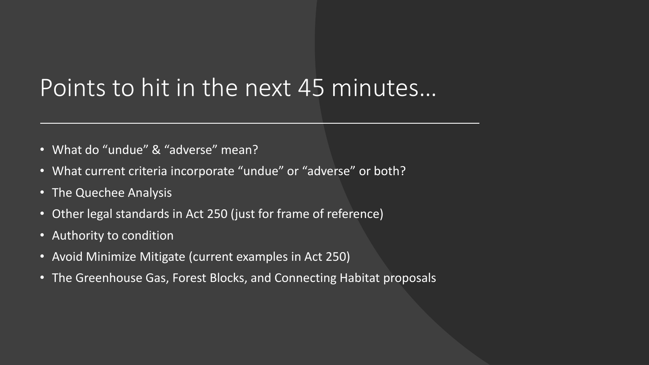#### Points to hit in the next 45 minutes…

- What do "undue" & "adverse" mean?
- What current criteria incorporate "undue" or "adverse" or both?
- The Quechee Analysis
- Other legal standards in Act 250 (just for frame of reference)
- Authority to condition
- Avoid Minimize Mitigate (current examples in Act 250)
- The Greenhouse Gas, Forest Blocks, and Connecting Habitat proposals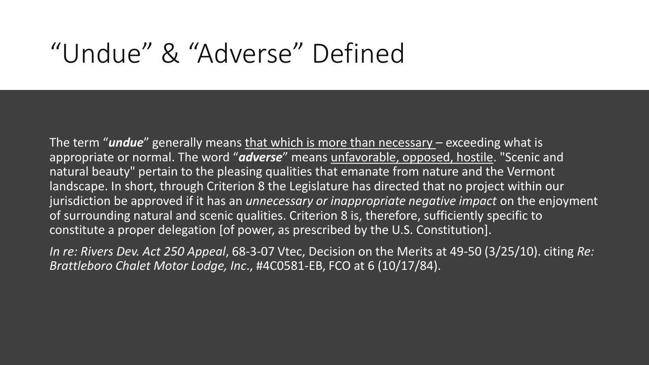#### "Undue" & "Adverse" Defined

The term "*undue*" generally means that which is more than necessary - exceeding what is appropriate or normal. The word "*adverse*" means unfavorable, opposed, hostile. "Scenic and natural beauty" pertain to the pleasing qualities that emanate from nature and the Vermont landscape. In short, through Criterion 8 the Legislature has directed that no project within our jurisdiction be approved if it has an *unnecessary or inappropriate negative impact* on the enjoyment of surrounding natural and scenic qualities. Criterion 8 is, therefore, sufficiently specific to constitute a proper delegation [of power, as prescribed by the U.S. Constitution].

*In re: Rivers Dev. Act 250 Appeal*, 68-3-07 Vtec, Decision on the Merits at 49-50 (3/25/10). citing *Re: Brattleboro Chalet Motor Lodge, Inc*., #4C0581-EB, FCO at 6 (10/17/84).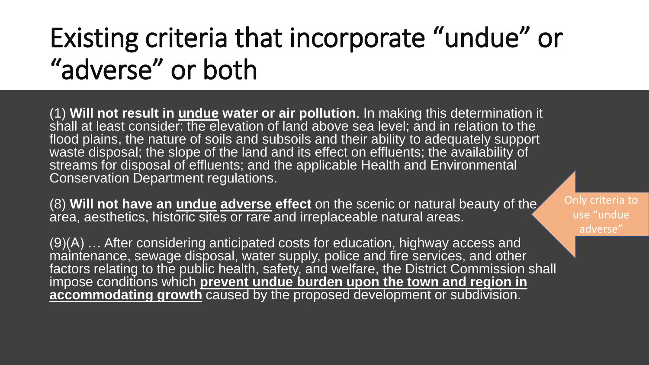## Existing criteria that incorporate "undue" or "adverse" or both

(1) **Will not result in undue water or air pollution**. In making this determination it shall at least consider: the elevation of land above sea level; and in relation to the flood plains, the nature of soils and subsoils and their ability to adequately support waste disposal; the slope of the land and its effect on effluents; the availability of streams for disposal of effluents; and the applicable Health and Environmental Conservation Department regulations.

(8) **Will not have an undue adverse effect** on the scenic or natural beauty of the  $\hat{\mathsf{area}}$ , aesthetics, historic sites or rare and irreplaceable natural areas.

(9)(A) … After considering anticipated costs for education, highway access and maintenance, sewage disposal, water supply, police and fire services, and other factors relating to the public health, safety, and welfare, the District Commission shall impose conditions which **prevent undue burden upon the town and region in accommodating growth** caused by the proposed development or subdivision.

Only criteria to use "undue adverse"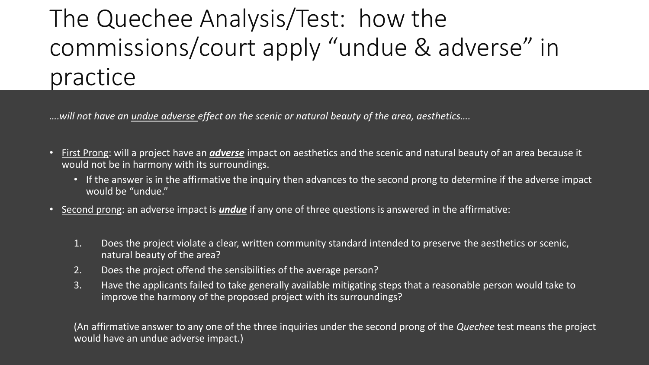#### The Quechee Analysis/Test: how the commissions/court apply "undue & adverse" in practice

*….will not have an undue adverse effect on the scenic or natural beauty of the area, aesthetics….*

- First Prong: will a project have an *adverse* impact on aesthetics and the scenic and natural beauty of an area because it would not be in harmony with its surroundings.
	- If the answer is in the affirmative the inquiry then advances to the second prong to determine if the adverse impact would be "undue."
- Second prong: an adverse impact is *undue* if any one of three questions is answered in the affirmative:
	- 1. Does the project violate a clear, written community standard intended to preserve the aesthetics or scenic, natural beauty of the area?
	- 2. Does the project offend the sensibilities of the average person?
	- 3. Have the applicants failed to take generally available mitigating steps that a reasonable person would take to improve the harmony of the proposed project with its surroundings?

(An affirmative answer to any one of the three inquiries under the second prong of the *Quechee* test means the project would have an undue adverse impact.)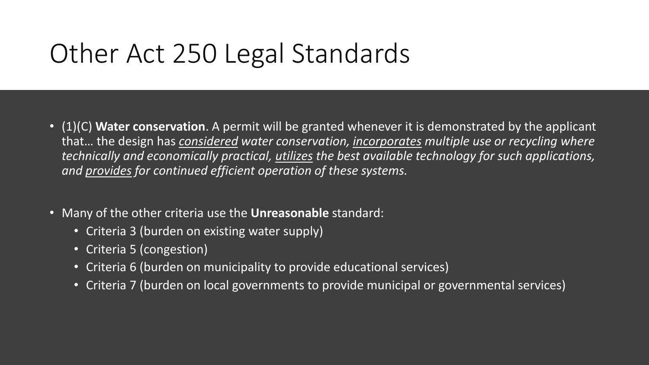### Other Act 250 Legal Standards

- (1)(C) **Water conservation**. A permit will be granted whenever it is demonstrated by the applicant that… the design has *considered water conservation, incorporates multiple use or recycling where technically and economically practical, utilizes the best available technology for such applications, and provides for continued efficient operation of these systems.*
- Many of the other criteria use the **Unreasonable** standard:
	- Criteria 3 (burden on existing water supply)
	- Criteria 5 (congestion)
	- Criteria 6 (burden on municipality to provide educational services)
	- Criteria 7 (burden on local governments to provide municipal or governmental services)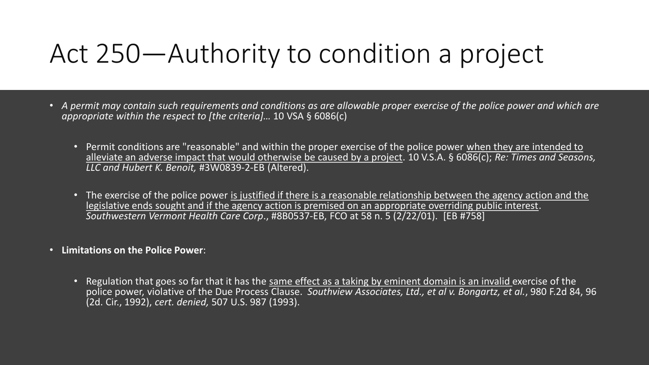#### Act 250—Authority to condition a project

- *A permit may contain such requirements and conditions as are allowable proper exercise of the police power and which are appropriate within the respect to [the criteria]…* 10 VSA § 6086(c)
	- Permit conditions are "reasonable" and within the proper exercise of the police power when they are intended to alleviate an adverse impact that would otherwise be caused by a project. 10 V.S.A. § 6086(c); *Re: Times and Seasons, LLC and Hubert K. Benoit,* #3W0839-2-EB (Altered).
	- The exercise of the police power is justified if there is a reasonable relationship between the agency action and the legislative ends sought and if the agency action is premised on an appropriate overriding public interest. *Southwestern Vermont Health Care Corp*., #8B0537-EB, FCO at 58 n. 5 (2/22/01). [EB #758]
- **Limitations on the Police Power**:
	- Regulation that goes so far that it has the same effect as a taking by eminent domain is an invalid exercise of the police power, violative of the Due Process Clause. *Southview Associates, Ltd., et al v. Bongartz, et al.*, 980 F.2d 84, 96 (2d. Cir., 1992), *cert. denied,* 507 U.S. 987 (1993).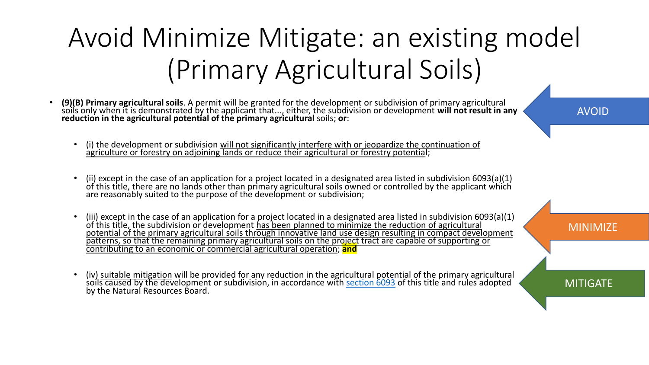# Avoid Minimize Mitigate: an existing model (Primary Agricultural Soils)

- **(9)(B) Primary agricultural soils**. A permit will be granted for the development or subdivision of primary agricultural soils only when it is demonstrated by the applicant that..., either, the subdivision or development **will not result in any reduction in the agricultural potential of the primary agricultural** soils; **or**:
	- (i) the development or subdivision will not significantly interfere with or jeopardize the continuation of agriculture or forestry on adioining lands or reduce their agricultural or forestry potential;
	- (ii) except in the case of an application for a project located in a designated area listed in subdivision 6093(a)(1) of this title, there are no lands other than primary agricultural soils owned or controlled by the applicant which are reasonably suited to the purpose of the development or subdivision;
	- (iii) except in the case of an application for a project located in a designated area listed in subdivision 6093(a)(1) of this title, the subdivision or development has been planned to minimize the reduction of agricultural potential of the primary agricultural soils through innovative land use design resulting in compact development patterns, so that the remaining primary agricultural soils on the project tract are capable of supporting or contributing to an economic or commercial agricultural operation; **and**
	- (iv) suitable mitigation will be provided for any reduction in the agricultural potential of the primary agricultural soils caused by the development or subdivision, in accordance with <u>[section 6093](https://1.next.westlaw.com/Link/Document/FullText?findType=L&pubNum=1000883&cite=VT10S6093&originatingDoc=NA2D159A0A6C511DDBA3BBA27398753C7&refType=LQ&originationContext=document&transitionType=DocumentItem&contextData=(sc.Category))</u> of this title and rules adopted by the Natural Resources Board.

AVOID

MINIMIZE

**MITIGATE**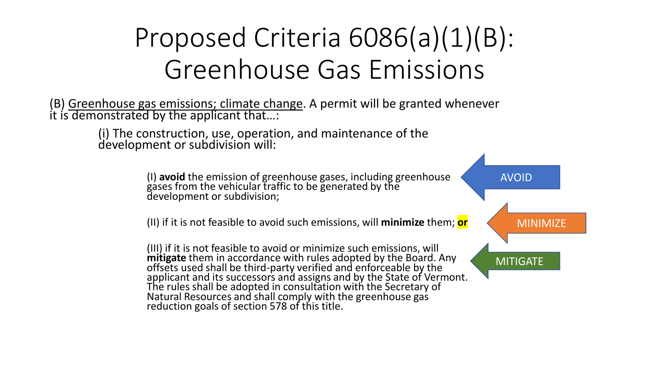## Proposed Criteria 6086(a)(1)(B): Greenhouse Gas Emissions

(B) Greenhouse gas emissions; climate change. A permit will be granted whenever it is demonstrated by the applicant that…:

> (i) The construction, use, operation, and maintenance of the development or subdivision will:

> > (I) **avoid** the emission of greenhouse gases, including greenhouse gases from the vehicular traffic to be generated by the development or subdivision;

(II) if it is not feasible to avoid such emissions, will **minimize** them; **or**

(III) if it is not feasible to avoid or minimize such emissions, will **mitigate** them in accordance with rules adopted by the Board. Any offsets used shall be third-party verified and enforceable by the applicant and its successors and assigns and by the State of Vermont. The rules shall be adopted in consultation with the Secretary of Natural Resources and shall comply with the greenhouse gas reduction goals of section 578 of this title.

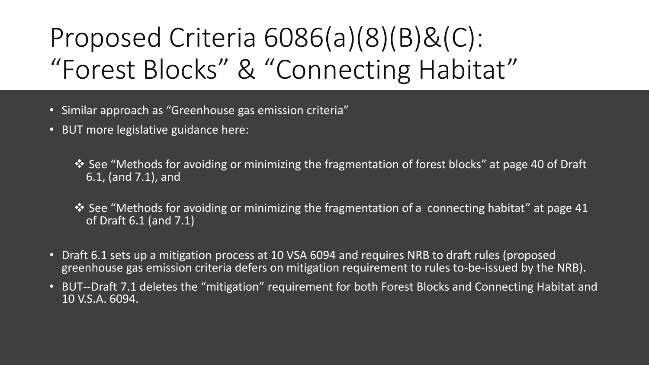# Proposed Criteria 6086(a)(8)(B)&(C): "Forest Blocks" & "Connecting Habitat"

- Similar approach as "Greenhouse gas emission criteria"
- BUT more legislative guidance here:

❖ See "Methods for avoiding or minimizing the fragmentation of forest blocks" at page 40 of Draft 6.1, (and 7.1), and

- ❖ See "Methods for avoiding or minimizing the fragmentation of a connecting habitat" at page 41 of Draft 6.1 (and 7.1)
- Draft 6.1 sets up a mitigation process at 10 VSA 6094 and requires NRB to draft rules (proposed greenhouse gas emission criteria defers on mitigation requirement to rules to-be-issued by the NRB).
- BUT--Draft 7.1 deletes the "mitigation" requirement for both Forest Blocks and Connecting Habitat and 10 V.S.A. 6094.